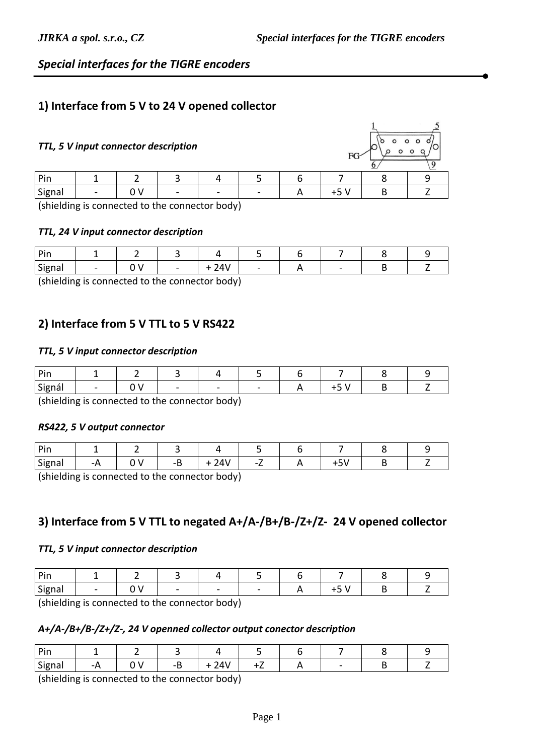## *Special interfaces for the TIGRE encoders*

### **1) Interface from 5 V to 24 V opened collector**

#### *TTL, 5 V input connector description*

| Pin    |                          |        |                            |   |  |  |
|--------|--------------------------|--------|----------------------------|---|--|--|
| Signal | $\overline{\phantom{0}}$ | $\sim$ | $\sim$                     | - |  |  |
| .      | . .                      |        | $\cdot$ $\cdot$<br>$\cdot$ |   |  |  |

(shielding is connected to the connector body)

#### *TTL, 24 V input connector description*

| Sion<br><b>Jigual</b> |  | $\sim$ | $\cdots$ |  | - |  |
|-----------------------|--|--------|----------|--|---|--|

(shielding is connected to the connector body)

## **2) Interface from 5 V TTL to 5 V RS422**

#### *TTL, 5 V input connector description*

| Pin    |  |   |   |   |  |  |
|--------|--|---|---|---|--|--|
| Signál |  | - | - | - |  |  |

(shielding is connected to the connector body)

#### *RS422, 5 V output connector*

| Din  |     |  |   |                 |  |  |
|------|-----|--|---|-----------------|--|--|
| Sign | - - |  | . | $\sim$ $\prime$ |  |  |

(shielding is connected to the connector body)

### **3) Interface from 5 V TTL to negated A+/A-/B+/B-/Z+/Z- 24 V opened collector**

#### *TTL, 5 V input connector description*

| . .    |                          |                          |   |                          |  |  |
|--------|--------------------------|--------------------------|---|--------------------------|--|--|
| Signal | $\overline{\phantom{0}}$ | $\overline{\phantom{a}}$ | - | $\overline{\phantom{0}}$ |  |  |

(shielding is connected to the connector body)

#### *A+/A-/B+/B-/Z+/Z-, 24 V openned collector output conector description*

| 'n:⊶<br>. |       |   |         |                            |  |     |  |
|-----------|-------|---|---------|----------------------------|--|-----|--|
| Signal    | - - - | v | --<br>- | $\overline{A}$<br>— т<br>- |  | $-$ |  |

(shielding is connected to the connector body)